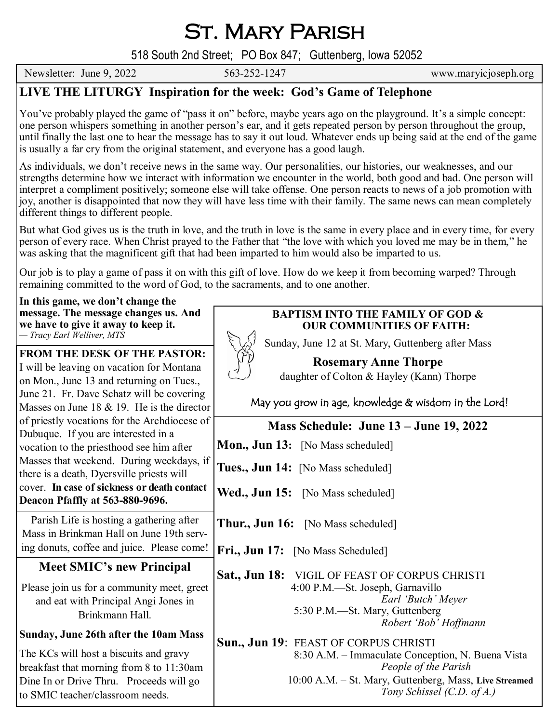St. Mary Parish

518 South 2nd Street; PO Box 847; Guttenberg, Iowa 52052

Newsletter: June 9, 2022 563-252-1247 www.maryicjoseph.org

## **LIVE THE LITURGY Inspiration for the week: God's Game of Telephone**

You've probably played the game of "pass it on" before, maybe years ago on the playground. It's a simple concept: one person whispers something in another person's ear, and it gets repeated person by person throughout the group, until finally the last one to hear the message has to say it out loud. Whatever ends up being said at the end of the game is usually a far cry from the original statement, and everyone has a good laugh.

As individuals, we don't receive news in the same way. Our personalities, our histories, our weaknesses, and our strengths determine how we interact with information we encounter in the world, both good and bad. One person will interpret a compliment positively; someone else will take offense. One person reacts to news of a job promotion with joy, another is disappointed that now they will have less time with their family. The same news can mean completely different things to different people.

But what God gives us is the truth in love, and the truth in love is the same in every place and in every time, for every person of every race. When Christ prayed to the Father that "the love with which you loved me may be in them," he was asking that the magnificent gift that had been imparted to him would also be imparted to us.

Our job is to play a game of pass it on with this gift of love. How do we keep it from becoming warped? Through remaining committed to the word of God, to the sacraments, and to one another.

**In this game, we don't change the message. The message changes us. And we have to give it away to keep it.** *— Tracy Earl Welliver, MTS*

**FROM THE DESK OF THE PASTOR:**

I will be leaving on vacation for Montana on Mon., June 13 and returning on Tues., June 21. Fr. Dave Schatz will be covering Masses on June 18 & 19. He is the director of priestly vocations for the Archdiocese of Dubuque. If you are interested in a vocation to the priesthood see him after Masses that weekend. During weekdays, if there is a death, Dyersville priests will cover. **In case of sickness or death contact Deacon Pfaffly at 563-880-9696.**

Parish Life is hosting a gathering after Mass in Brinkman Hall on June 19th serving donuts, coffee and juice. Please come!

## **Meet SMIC's new Principal**

Please join us for a community meet, greet and eat with Principal Angi Jones in Brinkmann Hall.

## **Sunday, June 26th after the 10am Mass**

The KCs will host a biscuits and gravy breakfast that morning from 8 to 11:30am Dine In or Drive Thru. Proceeds will go to SMIC teacher/classroom needs.